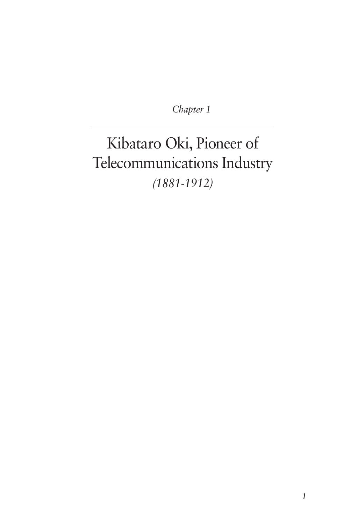*Chapter 1*

# Kibataro Oki, Pioneer of Telecommunications Industry *(1881-1912)*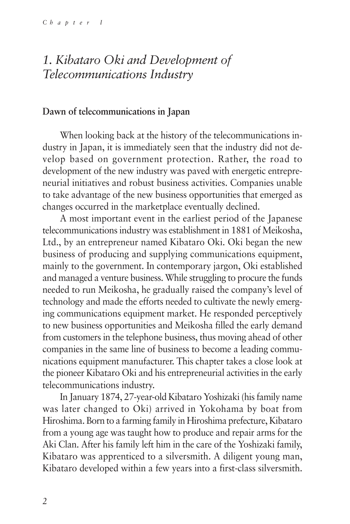# *1. Kibataro Oki and Development of Telecommunications Industry*

#### **Dawn of telecommunications in Japan**

When looking back at the history of the telecommunications industry in Japan, it is immediately seen that the industry did not develop based on government protection. Rather, the road to development of the new industry was paved with energetic entrepreneurial initiatives and robust business activities. Companies unable to take advantage of the new business opportunities that emerged as changes occurred in the marketplace eventually declined.

A most important event in the earliest period of the Japanese telecommunications industry was establishment in 1881 of Meikosha, Ltd., by an entrepreneur named Kibataro Oki. Oki began the new business of producing and supplying communications equipment, mainly to the government. In contemporary jargon, Oki established and managed a venture business. While struggling to procure the funds needed to run Meikosha, he gradually raised the company's level of technology and made the efforts needed to cultivate the newly emerging communications equipment market. He responded perceptively to new business opportunities and Meikosha filled the early demand from customers in the telephone business, thus moving ahead of other companies in the same line of business to become a leading communications equipment manufacturer. This chapter takes a close look at the pioneer Kibataro Oki and his entrepreneurial activities in the early telecommunications industry.

In January 1874, 27-year-old Kibataro Yoshizaki (his family name was later changed to Oki) arrived in Yokohama by boat from Hiroshima. Born to a farming family in Hiroshima prefecture, Kibataro from a young age was taught how to produce and repair arms for the Aki Clan. After his family left him in the care of the Yoshizaki family, Kibataro was apprenticed to a silversmith. A diligent young man, Kibataro developed within a few years into a first-class silversmith.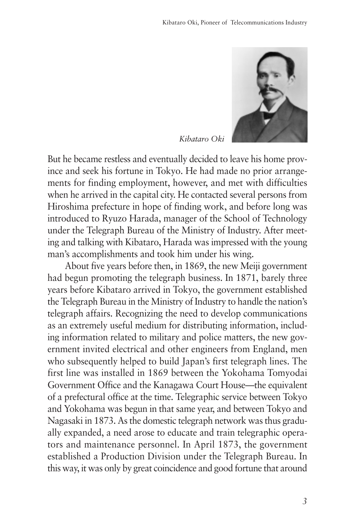

*Kibataro Oki*

But he became restless and eventually decided to leave his home province and seek his fortune in Tokyo. He had made no prior arrangements for finding employment, however, and met with difficulties when he arrived in the capital city. He contacted several persons from Hiroshima prefecture in hope of finding work, and before long was introduced to Ryuzo Harada, manager of the School of Technology under the Telegraph Bureau of the Ministry of Industry. After meeting and talking with Kibataro, Harada was impressed with the young man's accomplishments and took him under his wing.

About five years before then, in 1869, the new Meiji government had begun promoting the telegraph business. In 1871, barely three years before Kibataro arrived in Tokyo, the government established the Telegraph Bureau in the Ministry of Industry to handle the nation's telegraph affairs. Recognizing the need to develop communications as an extremely useful medium for distributing information, including information related to military and police matters, the new government invited electrical and other engineers from England, men who subsequently helped to build Japan's first telegraph lines. The first line was installed in 1869 between the Yokohama Tomyodai Government Office and the Kanagawa Court House—the equivalent of a prefectural office at the time. Telegraphic service between Tokyo and Yokohama was begun in that same year, and between Tokyo and Nagasaki in 1873. As the domestic telegraph network was thus gradually expanded, a need arose to educate and train telegraphic operators and maintenance personnel. In April 1873, the government established a Production Division under the Telegraph Bureau. In this way, it was only by great coincidence and good fortune that around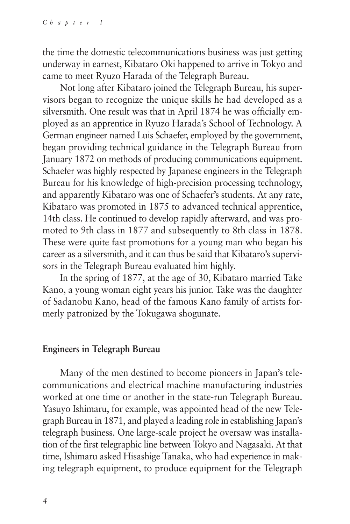the time the domestic telecommunications business was just getting underway in earnest, Kibataro Oki happened to arrive in Tokyo and came to meet Ryuzo Harada of the Telegraph Bureau.

Not long after Kibataro joined the Telegraph Bureau, his supervisors began to recognize the unique skills he had developed as a silversmith. One result was that in April 1874 he was officially employed as an apprentice in Ryuzo Harada's School of Technology. A German engineer named Luis Schaefer, employed by the government, began providing technical guidance in the Telegraph Bureau from January 1872 on methods of producing communications equipment. Schaefer was highly respected by Japanese engineers in the Telegraph Bureau for his knowledge of high-precision processing technology, and apparently Kibataro was one of Schaefer's students. At any rate, Kibataro was promoted in 1875 to advanced technical apprentice, 14th class. He continued to develop rapidly afterward, and was promoted to 9th class in 1877 and subsequently to 8th class in 1878. These were quite fast promotions for a young man who began his career as a silversmith, and it can thus be said that Kibataro's supervisors in the Telegraph Bureau evaluated him highly.

In the spring of 1877, at the age of 30, Kibataro married Take Kano, a young woman eight years his junior. Take was the daughter of Sadanobu Kano, head of the famous Kano family of artists formerly patronized by the Tokugawa shogunate.

### **Engineers in Telegraph Bureau**

Many of the men destined to become pioneers in Japan's telecommunications and electrical machine manufacturing industries worked at one time or another in the state-run Telegraph Bureau. Yasuyo Ishimaru, for example, was appointed head of the new Telegraph Bureau in 1871, and played a leading role in establishing Japan's telegraph business. One large-scale project he oversaw was installation of the first telegraphic line between Tokyo and Nagasaki. At that time, Ishimaru asked Hisashige Tanaka, who had experience in making telegraph equipment, to produce equipment for the Telegraph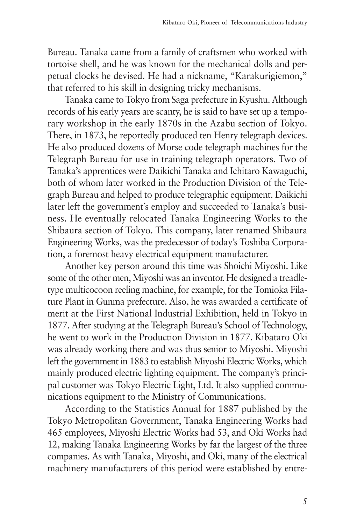Bureau. Tanaka came from a family of craftsmen who worked with tortoise shell, and he was known for the mechanical dolls and perpetual clocks he devised. He had a nickname, "Karakurigiemon," that referred to his skill in designing tricky mechanisms.

Tanaka came to Tokyo from Saga prefecture in Kyushu. Although records of his early years are scanty, he is said to have set up a temporary workshop in the early 1870s in the Azabu section of Tokyo. There, in 1873, he reportedly produced ten Henry telegraph devices. He also produced dozens of Morse code telegraph machines for the Telegraph Bureau for use in training telegraph operators. Two of Tanaka's apprentices were Daikichi Tanaka and Ichitaro Kawaguchi, both of whom later worked in the Production Division of the Telegraph Bureau and helped to produce telegraphic equipment. Daikichi later left the government's employ and succeeded to Tanaka's business. He eventually relocated Tanaka Engineering Works to the Shibaura section of Tokyo. This company, later renamed Shibaura Engineering Works, was the predecessor of today's Toshiba Corporation, a foremost heavy electrical equipment manufacturer.

Another key person around this time was Shoichi Miyoshi. Like some of the other men, Miyoshi was an inventor. He designed a treadletype multicocoon reeling machine, for example, for the Tomioka Filature Plant in Gunma prefecture. Also, he was awarded a certificate of merit at the First National Industrial Exhibition, held in Tokyo in 1877. After studying at the Telegraph Bureau's School of Technology, he went to work in the Production Division in 1877. Kibataro Oki was already working there and was thus senior to Miyoshi. Miyoshi left the government in 1883 to establish Miyoshi Electric Works, which mainly produced electric lighting equipment. The company's principal customer was Tokyo Electric Light, Ltd. It also supplied communications equipment to the Ministry of Communications.

According to the Statistics Annual for 1887 published by the Tokyo Metropolitan Government, Tanaka Engineering Works had 465 employees, Miyoshi Electric Works had 53, and Oki Works had 12, making Tanaka Engineering Works by far the largest of the three companies. As with Tanaka, Miyoshi, and Oki, many of the electrical machinery manufacturers of this period were established by entre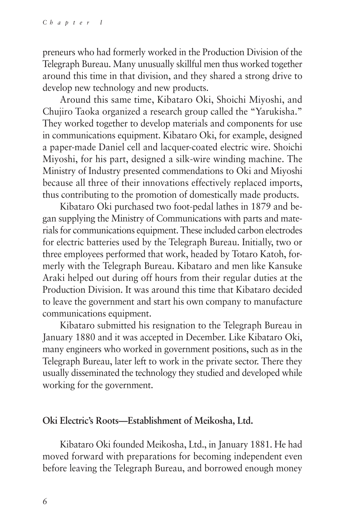preneurs who had formerly worked in the Production Division of the Telegraph Bureau. Many unusually skillful men thus worked together around this time in that division, and they shared a strong drive to develop new technology and new products.

Around this same time, Kibataro Oki, Shoichi Miyoshi, and Chujiro Taoka organized a research group called the "Yarukisha." They worked together to develop materials and components for use in communications equipment. Kibataro Oki, for example, designed a paper-made Daniel cell and lacquer-coated electric wire. Shoichi Miyoshi, for his part, designed a silk-wire winding machine. The Ministry of Industry presented commendations to Oki and Miyoshi because all three of their innovations effectively replaced imports, thus contributing to the promotion of domestically made products.

Kibataro Oki purchased two foot-pedal lathes in 1879 and began supplying the Ministry of Communications with parts and materials for communications equipment. These included carbon electrodes for electric batteries used by the Telegraph Bureau. Initially, two or three employees performed that work, headed by Totaro Katoh, formerly with the Telegraph Bureau. Kibataro and men like Kansuke Araki helped out during off hours from their regular duties at the Production Division. It was around this time that Kibataro decided to leave the government and start his own company to manufacture communications equipment.

Kibataro submitted his resignation to the Telegraph Bureau in January 1880 and it was accepted in December. Like Kibataro Oki, many engineers who worked in government positions, such as in the Telegraph Bureau, later left to work in the private sector. There they usually disseminated the technology they studied and developed while working for the government.

### **Oki Electric's Roots—Establishment of Meikosha, Ltd.**

Kibataro Oki founded Meikosha, Ltd., in January 1881. He had moved forward with preparations for becoming independent even before leaving the Telegraph Bureau, and borrowed enough money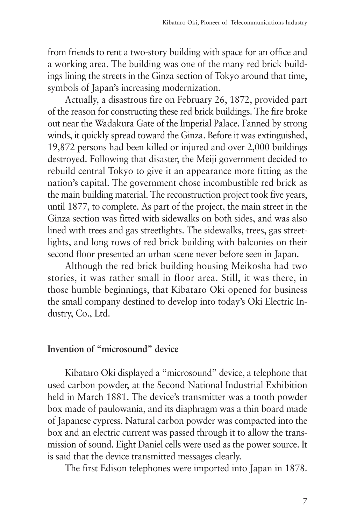from friends to rent a two-story building with space for an office and a working area. The building was one of the many red brick buildings lining the streets in the Ginza section of Tokyo around that time, symbols of Japan's increasing modernization.

Actually, a disastrous fire on February 26, 1872, provided part of the reason for constructing these red brick buildings. The fire broke out near the Wadakura Gate of the Imperial Palace. Fanned by strong winds, it quickly spread toward the Ginza. Before it was extinguished, 19,872 persons had been killed or injured and over 2,000 buildings destroyed. Following that disaster, the Meiji government decided to rebuild central Tokyo to give it an appearance more fitting as the nation's capital. The government chose incombustible red brick as the main building material. The reconstruction project took five years, until 1877, to complete. As part of the project, the main street in the Ginza section was fitted with sidewalks on both sides, and was also lined with trees and gas streetlights. The sidewalks, trees, gas streetlights, and long rows of red brick building with balconies on their second floor presented an urban scene never before seen in Japan.

Although the red brick building housing Meikosha had two stories, it was rather small in floor area. Still, it was there, in those humble beginnings, that Kibataro Oki opened for business the small company destined to develop into today's Oki Electric Industry, Co., Ltd.

### **Invention of "microsound" device**

Kibataro Oki displayed a "microsound" device, a telephone that used carbon powder, at the Second National Industrial Exhibition held in March 1881. The device's transmitter was a tooth powder box made of paulowania, and its diaphragm was a thin board made of Japanese cypress. Natural carbon powder was compacted into the box and an electric current was passed through it to allow the transmission of sound. Eight Daniel cells were used as the power source. It is said that the device transmitted messages clearly.

The first Edison telephones were imported into Japan in 1878.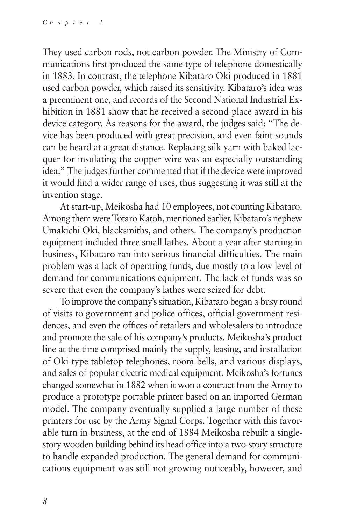They used carbon rods, not carbon powder. The Ministry of Communications first produced the same type of telephone domestically in 1883. In contrast, the telephone Kibataro Oki produced in 1881 used carbon powder, which raised its sensitivity. Kibataro's idea was a preeminent one, and records of the Second National Industrial Exhibition in 1881 show that he received a second-place award in his device category. As reasons for the award, the judges said: "The device has been produced with great precision, and even faint sounds can be heard at a great distance. Replacing silk yarn with baked lacquer for insulating the copper wire was an especially outstanding idea." The judges further commented that if the device were improved it would find a wider range of uses, thus suggesting it was still at the invention stage.

At start-up, Meikosha had 10 employees, not counting Kibataro. Among them were Totaro Katoh, mentioned earlier, Kibataro's nephew Umakichi Oki, blacksmiths, and others. The company's production equipment included three small lathes. About a year after starting in business, Kibataro ran into serious financial difficulties. The main problem was a lack of operating funds, due mostly to a low level of demand for communications equipment. The lack of funds was so severe that even the company's lathes were seized for debt.

To improve the company's situation, Kibataro began a busy round of visits to government and police offices, official government residences, and even the offices of retailers and wholesalers to introduce and promote the sale of his company's products. Meikosha's product line at the time comprised mainly the supply, leasing, and installation of Oki-type tabletop telephones, room bells, and various displays, and sales of popular electric medical equipment. Meikosha's fortunes changed somewhat in 1882 when it won a contract from the Army to produce a prototype portable printer based on an imported German model. The company eventually supplied a large number of these printers for use by the Army Signal Corps. Together with this favorable turn in business, at the end of 1884 Meikosha rebuilt a singlestory wooden building behind its head office into a two-story structure to handle expanded production. The general demand for communications equipment was still not growing noticeably, however, and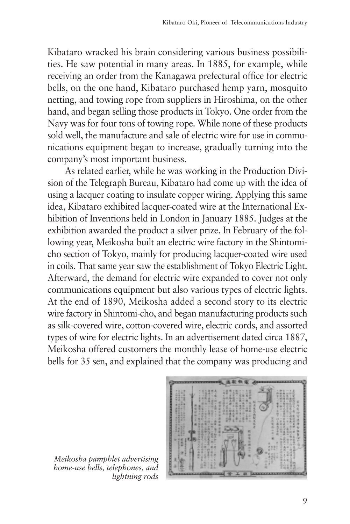Kibataro wracked his brain considering various business possibilities. He saw potential in many areas. In 1885, for example, while receiving an order from the Kanagawa prefectural office for electric bells, on the one hand, Kibataro purchased hemp yarn, mosquito netting, and towing rope from suppliers in Hiroshima, on the other hand, and began selling those products in Tokyo. One order from the Navy was for four tons of towing rope. While none of these products sold well, the manufacture and sale of electric wire for use in communications equipment began to increase, gradually turning into the company's most important business.

As related earlier, while he was working in the Production Division of the Telegraph Bureau, Kibataro had come up with the idea of using a lacquer coating to insulate copper wiring. Applying this same idea, Kibataro exhibited lacquer-coated wire at the International Exhibition of Inventions held in London in January 1885. Judges at the exhibition awarded the product a silver prize. In February of the following year, Meikosha built an electric wire factory in the Shintomicho section of Tokyo, mainly for producing lacquer-coated wire used in coils. That same year saw the establishment of Tokyo Electric Light. Afterward, the demand for electric wire expanded to cover not only communications equipment but also various types of electric lights. At the end of 1890, Meikosha added a second story to its electric wire factory in Shintomi-cho, and began manufacturing products such as silk-covered wire, cotton-covered wire, electric cords, and assorted types of wire for electric lights. In an advertisement dated circa 1887, Meikosha offered customers the monthly lease of home-use electric bells for 35 sen, and explained that the company was producing and

*Meikosha pamphlet advertising home-use bells, telephones, and lightning rods*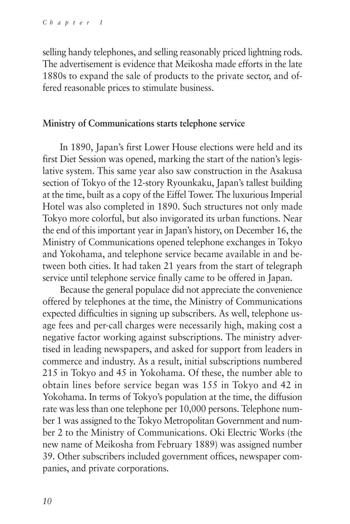selling handy telephones, and selling reasonably priced lightning rods. The advertisement is evidence that Meikosha made efforts in the late 1880s to expand the sale of products to the private sector, and offered reasonable prices to stimulate business.

### **Ministry of Communications starts telephone service**

In 1890, Japan's first Lower House elections were held and its first Diet Session was opened, marking the start of the nation's legislative system. This same year also saw construction in the Asakusa section of Tokyo of the 12-story Ryounkaku, Japan's tallest building at the time, built as a copy of the Eiffel Tower. The luxurious Imperial Hotel was also completed in 1890. Such structures not only made Tokyo more colorful, but also invigorated its urban functions. Near the end of this important year in Japan's history, on December 16, the Ministry of Communications opened telephone exchanges in Tokyo and Yokohama, and telephone service became available in and between both cities. It had taken 21 years from the start of telegraph service until telephone service finally came to be offered in Japan.

Because the general populace did not appreciate the convenience offered by telephones at the time, the Ministry of Communications expected difficulties in signing up subscribers. As well, telephone usage fees and per-call charges were necessarily high, making cost a negative factor working against subscriptions. The ministry advertised in leading newspapers, and asked for support from leaders in commerce and industry. As a result, initial subscriptions numbered 215 in Tokyo and 45 in Yokohama. Of these, the number able to obtain lines before service began was 155 in Tokyo and 42 in Yokohama. In terms of Tokyo's population at the time, the diffusion rate was less than one telephone per 10,000 persons. Telephone number 1 was assigned to the Tokyo Metropolitan Government and number 2 to the Ministry of Communications. Oki Electric Works (the new name of Meikosha from February 1889) was assigned number 39. Other subscribers included government offices, newspaper companies, and private corporations.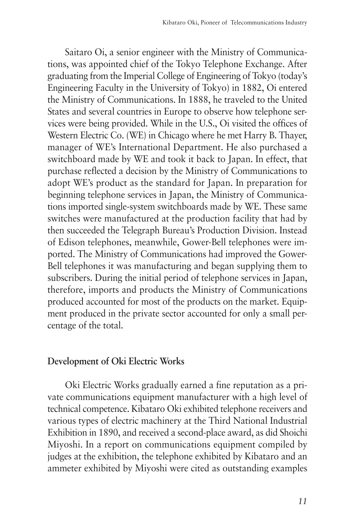Saitaro Oi, a senior engineer with the Ministry of Communications, was appointed chief of the Tokyo Telephone Exchange. After graduating from the Imperial College of Engineering of Tokyo (today's Engineering Faculty in the University of Tokyo) in 1882, Oi entered the Ministry of Communications. In 1888, he traveled to the United States and several countries in Europe to observe how telephone services were being provided. While in the U.S., Oi visited the offices of Western Electric Co. (WE) in Chicago where he met Harry B. Thayer, manager of WE's International Department. He also purchased a switchboard made by WE and took it back to Japan. In effect, that purchase reflected a decision by the Ministry of Communications to adopt WE's product as the standard for Japan. In preparation for beginning telephone services in Japan, the Ministry of Communications imported single-system switchboards made by WE. These same switches were manufactured at the production facility that had by then succeeded the Telegraph Bureau's Production Division. Instead of Edison telephones, meanwhile, Gower-Bell telephones were imported. The Ministry of Communications had improved the Gower-Bell telephones it was manufacturing and began supplying them to subscribers. During the initial period of telephone services in Japan, therefore, imports and products the Ministry of Communications produced accounted for most of the products on the market. Equipment produced in the private sector accounted for only a small percentage of the total.

### **Development of Oki Electric Works**

Oki Electric Works gradually earned a fine reputation as a private communications equipment manufacturer with a high level of technical competence. Kibataro Oki exhibited telephone receivers and various types of electric machinery at the Third National Industrial Exhibition in 1890, and received a second-place award, as did Shoichi Miyoshi. In a report on communications equipment compiled by judges at the exhibition, the telephone exhibited by Kibataro and an ammeter exhibited by Miyoshi were cited as outstanding examples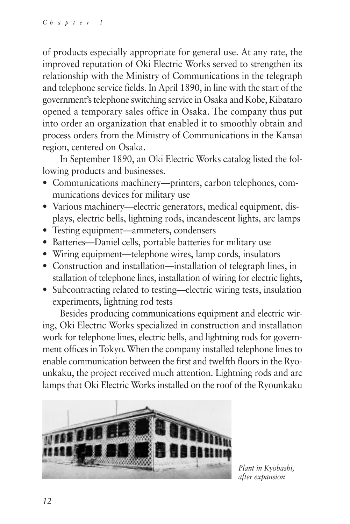of products especially appropriate for general use. At any rate, the improved reputation of Oki Electric Works served to strengthen its relationship with the Ministry of Communications in the telegraph and telephone service fields. In April 1890, in line with the start of the government's telephone switching service in Osaka and Kobe, Kibataro opened a temporary sales office in Osaka. The company thus put into order an organization that enabled it to smoothly obtain and process orders from the Ministry of Communications in the Kansai region, centered on Osaka.

In September 1890, an Oki Electric Works catalog listed the following products and businesses.

- Communications machinery—printers, carbon telephones, communications devices for military use
- Various machinery—electric generators, medical equipment, displays, electric bells, lightning rods, incandescent lights, arc lamps
- Testing equipment—ammeters, condensers
- Batteries—Daniel cells, portable batteries for military use
- Wiring equipment—telephone wires, lamp cords, insulators
- Construction and installation—installation of telegraph lines, in stallation of telephone lines, installation of wiring for electric lights,
- Subcontracting related to testing—electric wiring tests, insulation experiments, lightning rod tests

Besides producing communications equipment and electric wiring, Oki Electric Works specialized in construction and installation work for telephone lines, electric bells, and lightning rods for government offices in Tokyo. When the company installed telephone lines to enable communication between the first and twelfth floors in the Ryounkaku, the project received much attention. Lightning rods and arc lamps that Oki Electric Works installed on the roof of the Ryounkaku



*Plant in Kyobashi, after expansion*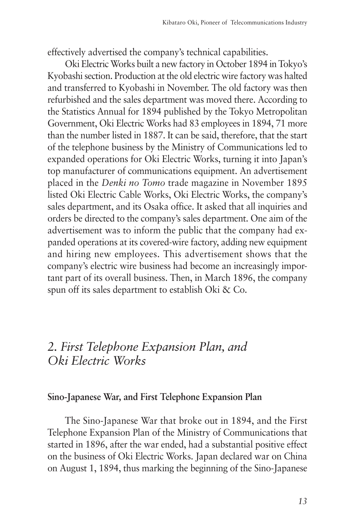effectively advertised the company's technical capabilities.

Oki Electric Works built a new factory in October 1894 in Tokyo's Kyobashi section. Production at the old electric wire factory was halted and transferred to Kyobashi in November. The old factory was then refurbished and the sales department was moved there. According to the Statistics Annual for 1894 published by the Tokyo Metropolitan Government, Oki Electric Works had 83 employees in 1894, 71 more than the number listed in 1887. It can be said, therefore, that the start of the telephone business by the Ministry of Communications led to expanded operations for Oki Electric Works, turning it into Japan's top manufacturer of communications equipment. An advertisement placed in the *Denki no Tomo* trade magazine in November 1895 listed Oki Electric Cable Works, Oki Electric Works, the company's sales department, and its Osaka office. It asked that all inquiries and orders be directed to the company's sales department. One aim of the advertisement was to inform the public that the company had expanded operations at its covered-wire factory, adding new equipment and hiring new employees. This advertisement shows that the company's electric wire business had become an increasingly important part of its overall business. Then, in March 1896, the company spun off its sales department to establish Oki & Co.

# *2. First Telephone Expansion Plan, and Oki Electric Works*

### **Sino-Japanese War, and First Telephone Expansion Plan**

The Sino-Japanese War that broke out in 1894, and the First Telephone Expansion Plan of the Ministry of Communications that started in 1896, after the war ended, had a substantial positive effect on the business of Oki Electric Works. Japan declared war on China on August 1, 1894, thus marking the beginning of the Sino-Japanese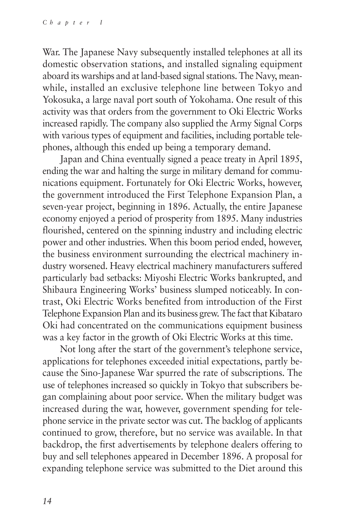War. The Japanese Navy subsequently installed telephones at all its domestic observation stations, and installed signaling equipment aboard its warships and at land-based signal stations. The Navy, meanwhile, installed an exclusive telephone line between Tokyo and Yokosuka, a large naval port south of Yokohama. One result of this activity was that orders from the government to Oki Electric Works increased rapidly. The company also supplied the Army Signal Corps with various types of equipment and facilities, including portable telephones, although this ended up being a temporary demand.

Japan and China eventually signed a peace treaty in April 1895, ending the war and halting the surge in military demand for communications equipment. Fortunately for Oki Electric Works, however, the government introduced the First Telephone Expansion Plan, a seven-year project, beginning in 1896. Actually, the entire Japanese economy enjoyed a period of prosperity from 1895. Many industries flourished, centered on the spinning industry and including electric power and other industries. When this boom period ended, however, the business environment surrounding the electrical machinery industry worsened. Heavy electrical machinery manufacturers suffered particularly bad setbacks: Miyoshi Electric Works bankrupted, and Shibaura Engineering Works' business slumped noticeably. In contrast, Oki Electric Works benefited from introduction of the First Telephone Expansion Plan and its business grew. The fact that Kibataro Oki had concentrated on the communications equipment business was a key factor in the growth of Oki Electric Works at this time.

Not long after the start of the government's telephone service, applications for telephones exceeded initial expectations, partly because the Sino-Japanese War spurred the rate of subscriptions. The use of telephones increased so quickly in Tokyo that subscribers began complaining about poor service. When the military budget was increased during the war, however, government spending for telephone service in the private sector was cut. The backlog of applicants continued to grow, therefore, but no service was available. In that backdrop, the first advertisements by telephone dealers offering to buy and sell telephones appeared in December 1896. A proposal for expanding telephone service was submitted to the Diet around this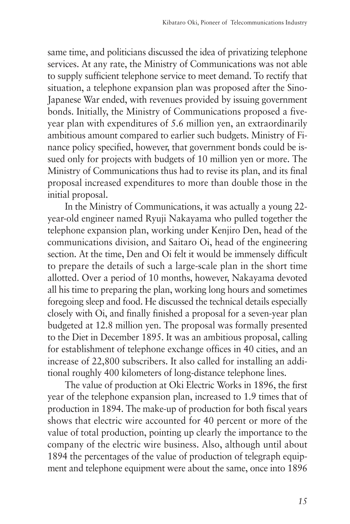same time, and politicians discussed the idea of privatizing telephone services. At any rate, the Ministry of Communications was not able to supply sufficient telephone service to meet demand. To rectify that situation, a telephone expansion plan was proposed after the Sino-Japanese War ended, with revenues provided by issuing government bonds. Initially, the Ministry of Communications proposed a fiveyear plan with expenditures of 5.6 million yen, an extraordinarily ambitious amount compared to earlier such budgets. Ministry of Finance policy specified, however, that government bonds could be issued only for projects with budgets of 10 million yen or more. The Ministry of Communications thus had to revise its plan, and its final proposal increased expenditures to more than double those in the initial proposal.

In the Ministry of Communications, it was actually a young 22 year-old engineer named Ryuji Nakayama who pulled together the telephone expansion plan, working under Kenjiro Den, head of the communications division, and Saitaro Oi, head of the engineering section. At the time, Den and Oi felt it would be immensely difficult to prepare the details of such a large-scale plan in the short time allotted. Over a period of 10 months, however, Nakayama devoted all his time to preparing the plan, working long hours and sometimes foregoing sleep and food. He discussed the technical details especially closely with Oi, and finally finished a proposal for a seven-year plan budgeted at 12.8 million yen. The proposal was formally presented to the Diet in December 1895. It was an ambitious proposal, calling for establishment of telephone exchange offices in 40 cities, and an increase of 22,800 subscribers. It also called for installing an additional roughly 400 kilometers of long-distance telephone lines.

The value of production at Oki Electric Works in 1896, the first year of the telephone expansion plan, increased to 1.9 times that of production in 1894. The make-up of production for both fiscal years shows that electric wire accounted for 40 percent or more of the value of total production, pointing up clearly the importance to the company of the electric wire business. Also, although until about 1894 the percentages of the value of production of telegraph equipment and telephone equipment were about the same, once into 1896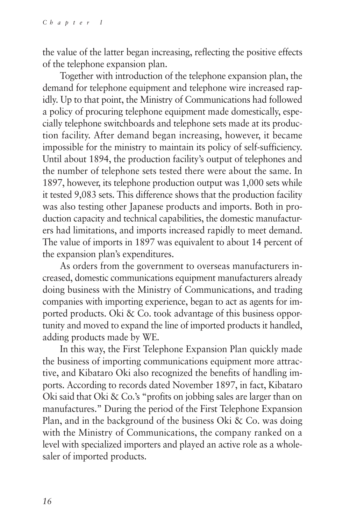the value of the latter began increasing, reflecting the positive effects of the telephone expansion plan.

Together with introduction of the telephone expansion plan, the demand for telephone equipment and telephone wire increased rapidly. Up to that point, the Ministry of Communications had followed a policy of procuring telephone equipment made domestically, especially telephone switchboards and telephone sets made at its production facility. After demand began increasing, however, it became impossible for the ministry to maintain its policy of self-sufficiency. Until about 1894, the production facility's output of telephones and the number of telephone sets tested there were about the same. In 1897, however, its telephone production output was 1,000 sets while it tested 9,083 sets. This difference shows that the production facility was also testing other Japanese products and imports. Both in production capacity and technical capabilities, the domestic manufacturers had limitations, and imports increased rapidly to meet demand. The value of imports in 1897 was equivalent to about 14 percent of the expansion plan's expenditures.

As orders from the government to overseas manufacturers increased, domestic communications equipment manufacturers already doing business with the Ministry of Communications, and trading companies with importing experience, began to act as agents for imported products. Oki & Co. took advantage of this business opportunity and moved to expand the line of imported products it handled, adding products made by WE.

In this way, the First Telephone Expansion Plan quickly made the business of importing communications equipment more attractive, and Kibataro Oki also recognized the benefits of handling imports. According to records dated November 1897, in fact, Kibataro Oki said that Oki & Co.'s "profits on jobbing sales are larger than on manufactures." During the period of the First Telephone Expansion Plan, and in the background of the business Oki & Co. was doing with the Ministry of Communications, the company ranked on a level with specialized importers and played an active role as a wholesaler of imported products.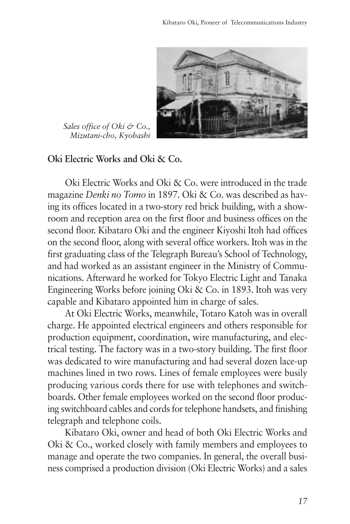

*Sales office of Oki & Co., Mizutani-cho, Kyobashi*

**Oki Electric Works and Oki & Co.**

Oki Electric Works and Oki & Co. were introduced in the trade magazine *Denki no Tomo* in 1897. Oki & Co. was described as having its offices located in a two-story red brick building, with a showroom and reception area on the first floor and business offices on the second floor. Kibataro Oki and the engineer Kiyoshi Itoh had offices on the second floor, along with several office workers. Itoh was in the first graduating class of the Telegraph Bureau's School of Technology, and had worked as an assistant engineer in the Ministry of Communications. Afterward he worked for Tokyo Electric Light and Tanaka Engineering Works before joining Oki & Co. in 1893. Itoh was very capable and Kibataro appointed him in charge of sales.

At Oki Electric Works, meanwhile, Totaro Katoh was in overall charge. He appointed electrical engineers and others responsible for production equipment, coordination, wire manufacturing, and electrical testing. The factory was in a two-story building. The first floor was dedicated to wire manufacturing and had several dozen lace-up machines lined in two rows. Lines of female employees were busily producing various cords there for use with telephones and switchboards. Other female employees worked on the second floor producing switchboard cables and cords for telephone handsets, and finishing telegraph and telephone coils.

Kibataro Oki, owner and head of both Oki Electric Works and Oki & Co., worked closely with family members and employees to manage and operate the two companies. In general, the overall business comprised a production division (Oki Electric Works) and a sales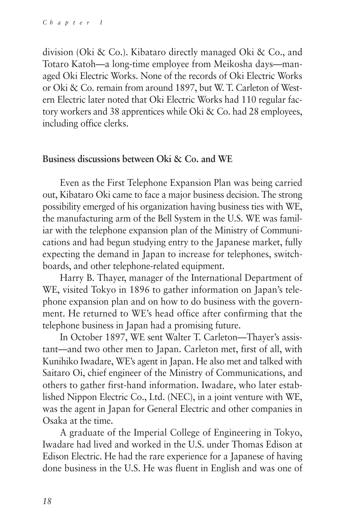division (Oki & Co.). Kibataro directly managed Oki & Co., and Totaro Katoh—a long-time employee from Meikosha days—managed Oki Electric Works. None of the records of Oki Electric Works or Oki & Co. remain from around 1897, but W. T. Carleton of Western Electric later noted that Oki Electric Works had 110 regular factory workers and 38 apprentices while Oki & Co. had 28 employees, including office clerks.

### **Business discussions between Oki & Co. and WE**

Even as the First Telephone Expansion Plan was being carried out, Kibataro Oki came to face a major business decision. The strong possibility emerged of his organization having business ties with WE, the manufacturing arm of the Bell System in the U.S. WE was familiar with the telephone expansion plan of the Ministry of Communications and had begun studying entry to the Japanese market, fully expecting the demand in Japan to increase for telephones, switchboards, and other telephone-related equipment.

Harry B. Thayer, manager of the International Department of WE, visited Tokyo in 1896 to gather information on Japan's telephone expansion plan and on how to do business with the government. He returned to WE's head office after confirming that the telephone business in Japan had a promising future.

In October 1897, WE sent Walter T. Carleton—Thayer's assistant—and two other men to Japan. Carleton met, first of all, with Kunihiko Iwadare, WE's agent in Japan. He also met and talked with Saitaro Oi, chief engineer of the Ministry of Communications, and others to gather first-hand information. Iwadare, who later established Nippon Electric Co., Ltd. (NEC), in a joint venture with WE, was the agent in Japan for General Electric and other companies in Osaka at the time.

A graduate of the Imperial College of Engineering in Tokyo, Iwadare had lived and worked in the U.S. under Thomas Edison at Edison Electric. He had the rare experience for a Japanese of having done business in the U.S. He was fluent in English and was one of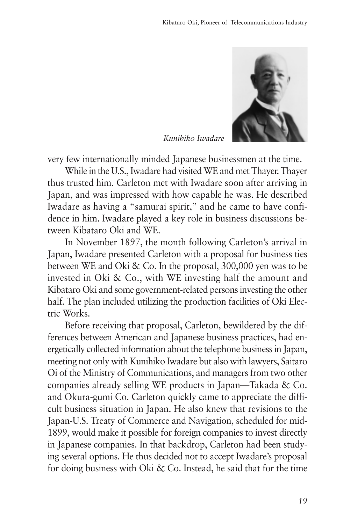

*Kunihiko Iwadare*

very few internationally minded Japanese businessmen at the time.

While in the U.S., Iwadare had visited WE and met Thayer. Thayer thus trusted him. Carleton met with Iwadare soon after arriving in Japan, and was impressed with how capable he was. He described Iwadare as having a "samurai spirit," and he came to have confidence in him. Iwadare played a key role in business discussions between Kibataro Oki and WE.

In November 1897, the month following Carleton's arrival in Japan, Iwadare presented Carleton with a proposal for business ties between WE and Oki & Co. In the proposal, 300,000 yen was to be invested in Oki & Co., with WE investing half the amount and Kibataro Oki and some government-related persons investing the other half. The plan included utilizing the production facilities of Oki Electric Works.

Before receiving that proposal, Carleton, bewildered by the differences between American and Japanese business practices, had energetically collected information about the telephone business in Japan, meeting not only with Kunihiko Iwadare but also with lawyers, Saitaro Oi of the Ministry of Communications, and managers from two other companies already selling WE products in Japan—Takada & Co. and Okura-gumi Co. Carleton quickly came to appreciate the difficult business situation in Japan. He also knew that revisions to the Japan-U.S. Treaty of Commerce and Navigation, scheduled for mid-1899, would make it possible for foreign companies to invest directly in Japanese companies. In that backdrop, Carleton had been studying several options. He thus decided not to accept Iwadare's proposal for doing business with Oki & Co. Instead, he said that for the time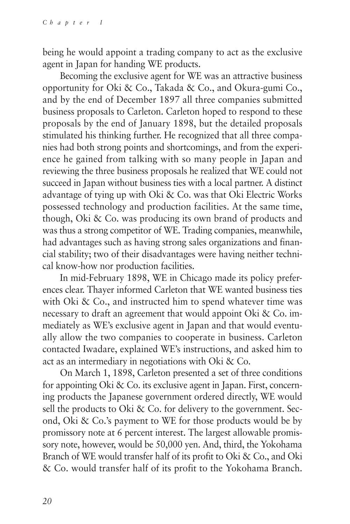being he would appoint a trading company to act as the exclusive agent in Japan for handing WE products.

Becoming the exclusive agent for WE was an attractive business opportunity for Oki & Co., Takada & Co., and Okura-gumi Co., and by the end of December 1897 all three companies submitted business proposals to Carleton. Carleton hoped to respond to these proposals by the end of January 1898, but the detailed proposals stimulated his thinking further. He recognized that all three companies had both strong points and shortcomings, and from the experience he gained from talking with so many people in Japan and reviewing the three business proposals he realized that WE could not succeed in Japan without business ties with a local partner. A distinct advantage of tying up with Oki & Co. was that Oki Electric Works possessed technology and production facilities. At the same time, though, Oki & Co. was producing its own brand of products and was thus a strong competitor of WE. Trading companies, meanwhile, had advantages such as having strong sales organizations and financial stability; two of their disadvantages were having neither technical know-how nor production facilities.

In mid-February 1898, WE in Chicago made its policy preferences clear. Thayer informed Carleton that WE wanted business ties with Oki & Co., and instructed him to spend whatever time was necessary to draft an agreement that would appoint Oki & Co. immediately as WE's exclusive agent in Japan and that would eventually allow the two companies to cooperate in business. Carleton contacted Iwadare, explained WE's instructions, and asked him to act as an intermediary in negotiations with Oki & Co.

On March 1, 1898, Carleton presented a set of three conditions for appointing Oki & Co. its exclusive agent in Japan. First, concerning products the Japanese government ordered directly, WE would sell the products to Oki & Co. for delivery to the government. Second, Oki & Co.'s payment to WE for those products would be by promissory note at 6 percent interest. The largest allowable promissory note, however, would be 50,000 yen. And, third, the Yokohama Branch of WE would transfer half of its profit to Oki & Co., and Oki & Co. would transfer half of its profit to the Yokohama Branch.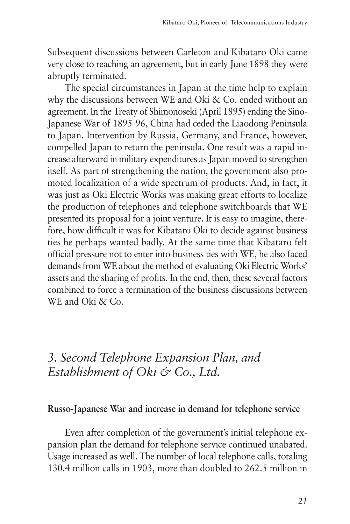Subsequent discussions between Carleton and Kibataro Oki came very close to reaching an agreement, but in early June 1898 they were abruptly terminated.

The special circumstances in Japan at the time help to explain why the discussions between WE and Oki & Co. ended without an agreement. In the Treaty of Shimonoseki (April 1895) ending the Sino-Japanese War of 1895-96, China had ceded the Liaodong Peninsula to Japan. Intervention by Russia, Germany, and France, however, compelled Japan to return the peninsula. One result was a rapid increase afterward in military expenditures as Japan moved to strengthen itself. As part of strengthening the nation, the government also promoted localization of a wide spectrum of products. And, in fact, it was just as Oki Electric Works was making great efforts to localize the production of telephones and telephone switchboards that WE presented its proposal for a joint venture. It is easy to imagine, therefore, how difficult it was for Kibataro Oki to decide against business ties he perhaps wanted badly. At the same time that Kibataro felt official pressure not to enter into business ties with WE, he also faced demands from WE about the method of evaluating Oki Electric Works' assets and the sharing of profits. In the end, then, these several factors combined to force a termination of the business discussions between WE and Oki & Co.

# *3. Second Telephone Expansion Plan, and Establishment of Oki & Co., Ltd.*

### **Russo-Japanese War and increase in demand for telephone service**

Even after completion of the government's initial telephone expansion plan the demand for telephone service continued unabated. Usage increased as well. The number of local telephone calls, totaling 130.4 million calls in 1903, more than doubled to 262.5 million in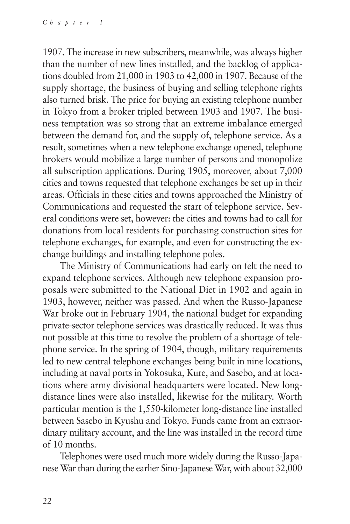1907. The increase in new subscribers, meanwhile, was always higher than the number of new lines installed, and the backlog of applications doubled from 21,000 in 1903 to 42,000 in 1907. Because of the supply shortage, the business of buying and selling telephone rights also turned brisk. The price for buying an existing telephone number in Tokyo from a broker tripled between 1903 and 1907. The business temptation was so strong that an extreme imbalance emerged between the demand for, and the supply of, telephone service. As a result, sometimes when a new telephone exchange opened, telephone brokers would mobilize a large number of persons and monopolize all subscription applications. During 1905, moreover, about 7,000 cities and towns requested that telephone exchanges be set up in their areas. Officials in these cities and towns approached the Ministry of Communications and requested the start of telephone service. Several conditions were set, however: the cities and towns had to call for donations from local residents for purchasing construction sites for telephone exchanges, for example, and even for constructing the exchange buildings and installing telephone poles.

The Ministry of Communications had early on felt the need to expand telephone services. Although new telephone expansion proposals were submitted to the National Diet in 1902 and again in 1903, however, neither was passed. And when the Russo-Japanese War broke out in February 1904, the national budget for expanding private-sector telephone services was drastically reduced. It was thus not possible at this time to resolve the problem of a shortage of telephone service. In the spring of 1904, though, military requirements led to new central telephone exchanges being built in nine locations, including at naval ports in Yokosuka, Kure, and Sasebo, and at locations where army divisional headquarters were located. New longdistance lines were also installed, likewise for the military. Worth particular mention is the 1,550-kilometer long-distance line installed between Sasebo in Kyushu and Tokyo. Funds came from an extraordinary military account, and the line was installed in the record time of 10 months.

Telephones were used much more widely during the Russo-Japanese War than during the earlier Sino-Japanese War, with about 32,000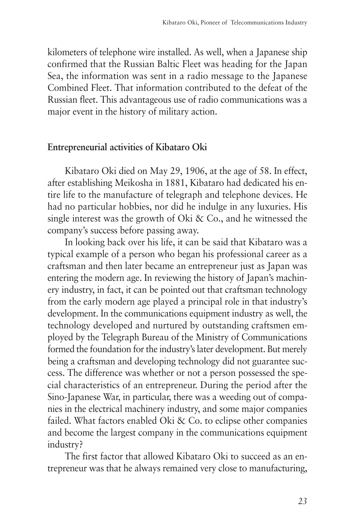kilometers of telephone wire installed. As well, when a Japanese ship confirmed that the Russian Baltic Fleet was heading for the Japan Sea, the information was sent in a radio message to the Japanese Combined Fleet. That information contributed to the defeat of the Russian fleet. This advantageous use of radio communications was a major event in the history of military action.

#### **Entrepreneurial activities of Kibataro Oki**

Kibataro Oki died on May 29, 1906, at the age of 58. In effect, after establishing Meikosha in 1881, Kibataro had dedicated his entire life to the manufacture of telegraph and telephone devices. He had no particular hobbies, nor did he indulge in any luxuries. His single interest was the growth of Oki & Co., and he witnessed the company's success before passing away.

In looking back over his life, it can be said that Kibataro was a typical example of a person who began his professional career as a craftsman and then later became an entrepreneur just as Japan was entering the modern age. In reviewing the history of Japan's machinery industry, in fact, it can be pointed out that craftsman technology from the early modern age played a principal role in that industry's development. In the communications equipment industry as well, the technology developed and nurtured by outstanding craftsmen employed by the Telegraph Bureau of the Ministry of Communications formed the foundation for the industry's later development. But merely being a craftsman and developing technology did not guarantee success. The difference was whether or not a person possessed the special characteristics of an entrepreneur. During the period after the Sino-Japanese War, in particular, there was a weeding out of companies in the electrical machinery industry, and some major companies failed. What factors enabled Oki & Co. to eclipse other companies and become the largest company in the communications equipment industry?

The first factor that allowed Kibataro Oki to succeed as an entrepreneur was that he always remained very close to manufacturing,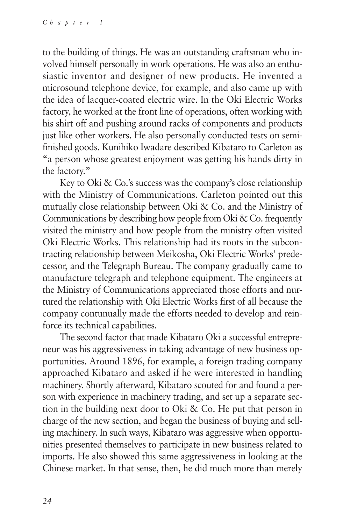to the building of things. He was an outstanding craftsman who involved himself personally in work operations. He was also an enthusiastic inventor and designer of new products. He invented a microsound telephone device, for example, and also came up with the idea of lacquer-coated electric wire. In the Oki Electric Works factory, he worked at the front line of operations, often working with his shirt off and pushing around racks of components and products just like other workers. He also personally conducted tests on semifinished goods. Kunihiko Iwadare described Kibataro to Carleton as "a person whose greatest enjoyment was getting his hands dirty in the factory."

Key to Oki & Co.'s success was the company's close relationship with the Ministry of Communications. Carleton pointed out this mutually close relationship between Oki & Co. and the Ministry of Communications by describing how people from Oki & Co. frequently visited the ministry and how people from the ministry often visited Oki Electric Works. This relationship had its roots in the subcontracting relationship between Meikosha, Oki Electric Works' predecessor, and the Telegraph Bureau. The company gradually came to manufacture telegraph and telephone equipment. The engineers at the Ministry of Communications appreciated those efforts and nurtured the relationship with Oki Electric Works first of all because the company contunually made the efforts needed to develop and reinforce its technical capabilities.

The second factor that made Kibataro Oki a successful entrepreneur was his aggressiveness in taking advantage of new business opportunities. Around 1896, for example, a foreign trading company approached Kibataro and asked if he were interested in handling machinery. Shortly afterward, Kibataro scouted for and found a person with experience in machinery trading, and set up a separate section in the building next door to Oki & Co. He put that person in charge of the new section, and began the business of buying and selling machinery. In such ways, Kibataro was aggressive when opportunities presented themselves to participate in new business related to imports. He also showed this same aggressiveness in looking at the Chinese market. In that sense, then, he did much more than merely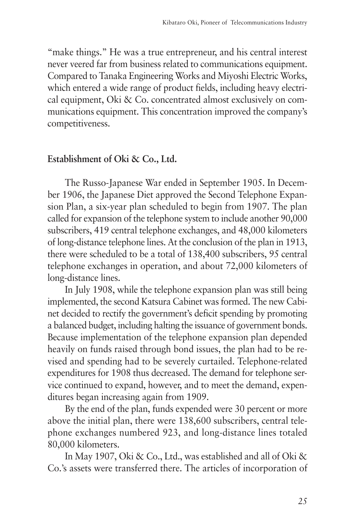"make things." He was a true entrepreneur, and his central interest never veered far from business related to communications equipment. Compared to Tanaka Engineering Works and Miyoshi Electric Works, which entered a wide range of product fields, including heavy electrical equipment, Oki & Co. concentrated almost exclusively on communications equipment. This concentration improved the company's competitiveness.

### **Establishment of Oki & Co., Ltd.**

The Russo-Japanese War ended in September 1905. In December 1906, the Japanese Diet approved the Second Telephone Expansion Plan, a six-year plan scheduled to begin from 1907. The plan called for expansion of the telephone system to include another 90,000 subscribers, 419 central telephone exchanges, and 48,000 kilometers of long-distance telephone lines. At the conclusion of the plan in 1913, there were scheduled to be a total of 138,400 subscribers, 95 central telephone exchanges in operation, and about 72,000 kilometers of long-distance lines.

In July 1908, while the telephone expansion plan was still being implemented, the second Katsura Cabinet was formed. The new Cabinet decided to rectify the government's deficit spending by promoting a balanced budget, including halting the issuance of government bonds. Because implementation of the telephone expansion plan depended heavily on funds raised through bond issues, the plan had to be revised and spending had to be severely curtailed. Telephone-related expenditures for 1908 thus decreased. The demand for telephone service continued to expand, however, and to meet the demand, expenditures began increasing again from 1909.

By the end of the plan, funds expended were 30 percent or more above the initial plan, there were 138,600 subscribers, central telephone exchanges numbered 923, and long-distance lines totaled 80,000 kilometers.

In May 1907, Oki & Co., Ltd., was established and all of Oki & Co.'s assets were transferred there. The articles of incorporation of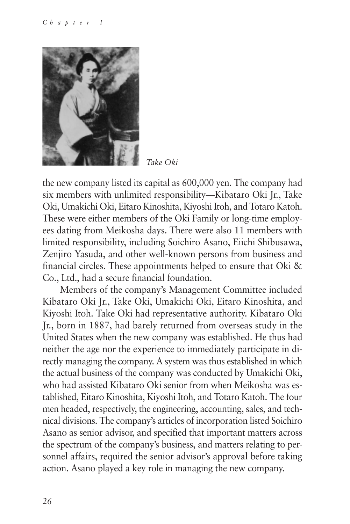

*Take Oki*

the new company listed its capital as 600,000 yen. The company had six members with unlimited responsibility—Kibataro Oki Jr., Take Oki, Umakichi Oki, Eitaro Kinoshita, Kiyoshi Itoh, and Totaro Katoh. These were either members of the Oki Family or long-time employees dating from Meikosha days. There were also 11 members with limited responsibility, including Soichiro Asano, Eiichi Shibusawa, Zenjiro Yasuda, and other well-known persons from business and financial circles. These appointments helped to ensure that Oki  $\&$ Co., Ltd., had a secure financial foundation.

Members of the company's Management Committee included Kibataro Oki Jr., Take Oki, Umakichi Oki, Eitaro Kinoshita, and Kiyoshi Itoh. Take Oki had representative authority. Kibataro Oki Jr., born in 1887, had barely returned from overseas study in the United States when the new company was established. He thus had neither the age nor the experience to immediately participate in directly managing the company. A system was thus established in which the actual business of the company was conducted by Umakichi Oki, who had assisted Kibataro Oki senior from when Meikosha was established, Eitaro Kinoshita, Kiyoshi Itoh, and Totaro Katoh. The four men headed, respectively, the engineering, accounting, sales, and technical divisions. The company's articles of incorporation listed Soichiro Asano as senior advisor, and specified that important matters across the spectrum of the company's business, and matters relating to personnel affairs, required the senior advisor's approval before taking action. Asano played a key role in managing the new company.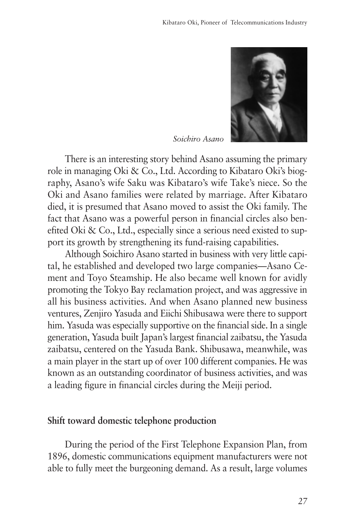

*Soichiro Asano*

There is an interesting story behind Asano assuming the primary role in managing Oki & Co., Ltd. According to Kibataro Oki's biography, Asano's wife Saku was Kibataro's wife Take's niece. So the Oki and Asano families were related by marriage. After Kibataro died, it is presumed that Asano moved to assist the Oki family. The fact that Asano was a powerful person in financial circles also benefited Oki & Co., Ltd., especially since a serious need existed to support its growth by strengthening its fund-raising capabilities.

Although Soichiro Asano started in business with very little capital, he established and developed two large companies—Asano Cement and Toyo Steamship. He also became well known for avidly promoting the Tokyo Bay reclamation project, and was aggressive in all his business activities. And when Asano planned new business ventures, Zenjiro Yasuda and Eiichi Shibusawa were there to support him. Yasuda was especially supportive on the financial side. In a single generation, Yasuda built Japan's largest financial zaibatsu, the Yasuda zaibatsu, centered on the Yasuda Bank. Shibusawa, meanwhile, was a main player in the start up of over 100 different companies. He was known as an outstanding coordinator of business activities, and was a leading figure in financial circles during the Meiji period.

#### **Shift toward domestic telephone production**

During the period of the First Telephone Expansion Plan, from 1896, domestic communications equipment manufacturers were not able to fully meet the burgeoning demand. As a result, large volumes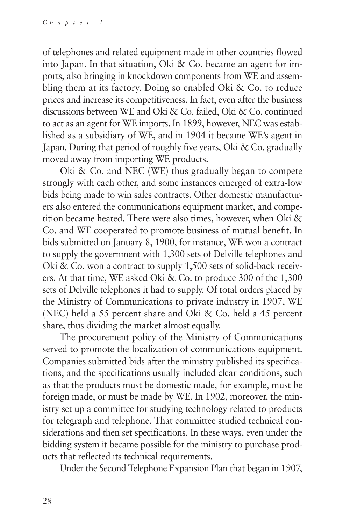of telephones and related equipment made in other countries flowed into Japan. In that situation, Oki & Co. became an agent for imports, also bringing in knockdown components from WE and assembling them at its factory. Doing so enabled Oki & Co. to reduce prices and increase its competitiveness. In fact, even after the business discussions between WE and Oki & Co. failed, Oki & Co. continued to act as an agent for WE imports. In 1899, however, NEC was established as a subsidiary of WE, and in 1904 it became WE's agent in Japan. During that period of roughly five years, Oki & Co. gradually moved away from importing WE products.

Oki & Co. and NEC (WE) thus gradually began to compete strongly with each other, and some instances emerged of extra-low bids being made to win sales contracts. Other domestic manufacturers also entered the communications equipment market, and competition became heated. There were also times, however, when Oki & Co. and WE cooperated to promote business of mutual benefit. In bids submitted on January 8, 1900, for instance, WE won a contract to supply the government with 1,300 sets of Delville telephones and Oki & Co. won a contract to supply 1,500 sets of solid-back receivers. At that time, WE asked Oki & Co. to produce 300 of the 1,300 sets of Delville telephones it had to supply. Of total orders placed by the Ministry of Communications to private industry in 1907, WE (NEC) held a 55 percent share and Oki & Co. held a 45 percent share, thus dividing the market almost equally.

The procurement policy of the Ministry of Communications served to promote the localization of communications equipment. Companies submitted bids after the ministry published its specifications, and the specifications usually included clear conditions, such as that the products must be domestic made, for example, must be foreign made, or must be made by WE. In 1902, moreover, the ministry set up a committee for studying technology related to products for telegraph and telephone. That committee studied technical considerations and then set specifications. In these ways, even under the bidding system it became possible for the ministry to purchase products that reflected its technical requirements.

Under the Second Telephone Expansion Plan that began in 1907,